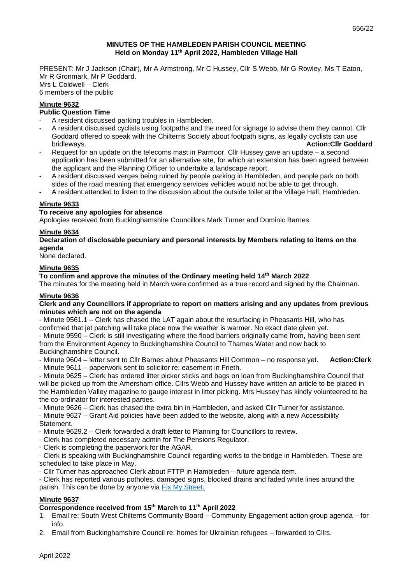# **MINUTES OF THE HAMBLEDEN PARISH COUNCIL MEETING Held on Monday 11 th April 2022, Hambleden Village Hall**

PRESENT: Mr J Jackson (Chair), Mr A Armstrong, Mr C Hussey, Cllr S Webb, Mr G Rowley, Ms T Eaton, Mr R Gronmark, Mr P Goddard. Mrs L Coldwell – Clerk 6 members of the public

# **Minute 9632**

# **Public Question Time**

- A resident discussed parking troubles in Hambleden.
- A resident discussed cyclists using footpaths and the need for signage to advise them they cannot. Cllr Goddard offered to speak with the Chilterns Society about footpath signs, as legally cyclists can use bridleways. **Action:Cllr Goddard**
- Request for an update on the telecoms mast in Parmoor. Cllr Hussey gave an update a second application has been submitted for an alternative site, for which an extension has been agreed between the applicant and the Planning Officer to undertake a landscape report.
- A resident discussed verges being ruined by people parking in Hambleden, and people park on both sides of the road meaning that emergency services vehicles would not be able to get through.
- A resident attended to listen to the discussion about the outside toilet at the Village Hall, Hambleden.

# **Minute 9633**

# **To receive any apologies for absence**

Apologies received from Buckinghamshire Councillors Mark Turner and Dominic Barnes.

## **Minute 9634**

#### **Declaration of disclosable pecuniary and personal interests by Members relating to items on the agenda**

None declared.

# **Minute 9635**

# **To confirm and approve the minutes of the Ordinary meeting held 14 th March 2022**

The minutes for the meeting held in March were confirmed as a true record and signed by the Chairman.

#### **Minute 9636**

#### **Clerk and any Councillors if appropriate to report on matters arising and any updates from previous minutes which are not on the agenda**

- Minute 9561.1 – Clerk has chased the LAT again about the resurfacing in Pheasants Hill, who has confirmed that jet patching will take place now the weather is warmer. No exact date given yet.

- Minute 9590 – Clerk is still investigating where the flood barriers originally came from, having been sent from the Environment Agency to Buckinghamshire Council to Thames Water and now back to Buckinghamshire Council.

- Minute 9604 – letter sent to Cllr Barnes about Pheasants Hill Common – no response yet. **Action:Clerk**

- Minute 9611 – paperwork sent to solicitor re: easement in Frieth.

- Minute 9625 – Clerk has ordered litter picker sticks and bags on loan from Buckinghamshire Council that will be picked up from the Amersham office. Cllrs Webb and Hussey have written an article to be placed in the Hambleden Valley magazine to gauge interest in litter picking. Mrs Hussey has kindly volunteered to be the co-ordinator for interested parties.

- Minute 9626 – Clerk has chased the extra bin in Hambleden, and asked Cllr Turner for assistance.

- Minute 9627 – Grant Aid policies have been added to the website, along with a new Accessibility **Statement** 

- Minute 9629.2 – Clerk forwarded a draft letter to Planning for Councillors to review.

- Clerk has completed necessary admin for The Pensions Regulator.

- Clerk is completing the paperwork for the AGAR.

- Clerk is speaking with Buckinghamshire Council regarding works to the bridge in Hambleden. These are scheduled to take place in May.

- Cllr Turner has approached Clerk about FTTP in Hambleden – future agenda item.

- Clerk has reported various potholes, damaged signs, blocked drains and faded white lines around the parish. This can be done by anyone via [Fix My Street.](https://www.fixmystreet.com/)

# **Minute 9637**

# **Correspondence received from 15th March to 11th April 2022**

- 1. Email re: South West Chilterns Community Board Community Engagement action group agenda for info.
- 2. Email from Buckinghamshire Council re: homes for Ukrainian refugees forwarded to Cllrs.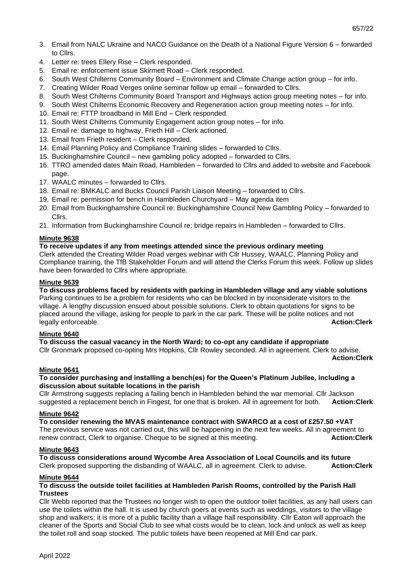- 3. Email from NALC Ukraine and NACO Guidance on the Death of a National Figure Version 6 forwarded to Cllrs.
- 4. Letter re: trees Ellery Rise Clerk responded.
- 5. Email re: enforcement issue Skirmett Road Clerk responded.
- 6. South West Chilterns Community Board Environment and Climate Change action group for info.
- 7. Creating Wilder Road Verges online seminar follow up email forwarded to Cllrs.
- 8. South West Chilterns Community Board Transport and Highways action group meeting notes for info.
- 9. South West Chilterns Economic Recovery and Regeneration action group meeting notes for info.
- 10. Email re: FTTP broadband in Mill End Clerk responded.
- 11. South West Chilterns Community Engagement action group notes for info.
- 12. Email re: damage to highway, Frieth Hill Clerk actioned.
- 13. Email from Frieth resident Clerk responded.
- 14. Email Planning Policy and Compliance Training slides forwarded to Cllrs.
- 15. Buckinghamshire Council new gambling policy adopted forwarded to Cllrs.
- 16. TTRO amended dates Main Road, Hambleden forwarded to Cllrs and added to website and Facebook page.
- 17. WAALC minutes forwarded to Cllrs.
- 18. Email re: BMKALC and Bucks Council Parish Liaison Meeting forwarded to Cllrs.
- 19. Email re: permission for bench in Hambleden Churchyard May agenda item
- 20. Email from Buckinghamshire Council re: Buckinghamshire Council New Gambling Policy forwarded to Cllrs.
- 21. Information from Buckinghamshire Council re: bridge repairs in Hambleden forwarded to Cllrs.

## **Minute 9638**

# **To receive updates if any from meetings attended since the previous ordinary meeting**

Clerk attended the Creating Wilder Road verges webinar with Cllr Hussey, WAALC, Planning Policy and Compliance training, the TfB Stakeholder Forum and will attend the Clerks Forum this week. Follow up slides have been forwarded to Cllrs where appropriate.

## **Minute 9639**

# **To discuss problems faced by residents with parking in Hambleden village and any viable solutions**  Parking continues to be a problem for residents who can be blocked in by inconsiderate visitors to the

village. A lengthy discussion ensued about possible solutions. Clerk to obtain quotations for signs to be placed around the village, asking for people to park in the car park. These will be polite notices and not legally enforceable. **Action:Clerk**

#### **Minute 9640**

**To discuss the casual vacancy in the North Ward; to co-opt any candidate if appropriate** Cllr Gronmark proposed co-opting Mrs Hopkins, Cllr Rowley seconded. All in agreement. Clerk to advise. **Action:Clerk**

#### **Minute 9641**

## **To consider purchasing and installing a bench(es) for the Queen's Platinum Jubilee, including a discussion about suitable locations in the parish**

Cllr Armstrong suggests replacing a failing bench in Hambleden behind the war memorial. Cllr Jackson suggested a replacement bench in Fingest, for one that is broken. All in agreement for both. **Action:Clerk**

#### **Minute 9642**

**To consider renewing the MVAS maintenance contract with SWARCO at a cost of £257.50 +VAT** The previous service was not carried out, this will be happening in the next few weeks. All in agreement to renew contract, Clerk to organise. Cheque to be signed at this meeting. **Action:Clerk**

#### **Minute 9643**

**To discuss considerations around Wycombe Area Association of Local Councils and its future** Clerk proposed supporting the disbanding of WAALC, all in agreement. Clerk to advise. **Action:Clerk**

#### **Minute 9644**

## **To discuss the outside toilet facilities at Hambleden Parish Rooms, controlled by the Parish Hall Trustees**

Cllr Webb reported that the Trustees no longer wish to open the outdoor toilet facilities, as any hall users can use the toilets within the hall. It is used by church goers at events such as weddings, visitors to the village shop and walkers; it is more of a public facility than a village hall responsibility. Cllr Eaton will approach the cleaner of the Sports and Social Club to see what costs would be to clean, lock and unlock as well as keep the toilet roll and soap stocked. The public toilets have been reopened at Mill End car park.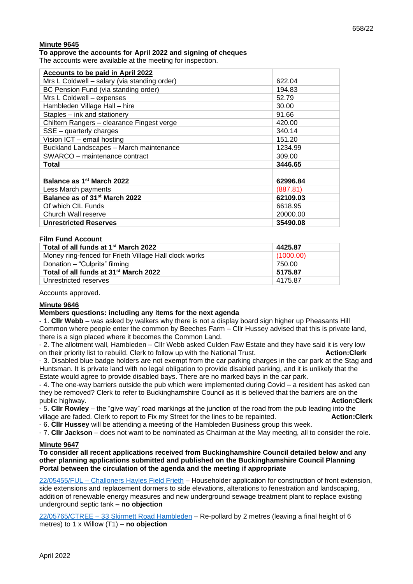# **Minute 9645**

**To approve the accounts for April 2022 and signing of cheques**

The accounts were available at the meeting for inspection.

| Accounts to be paid in April 2022            |          |
|----------------------------------------------|----------|
| Mrs L Coldwell - salary (via standing order) | 622.04   |
| BC Pension Fund (via standing order)         | 194.83   |
| Mrs L Coldwell - expenses                    | 52.79    |
| Hambleden Village Hall - hire                | 30.00    |
| Staples - ink and stationery                 | 91.66    |
| Chiltern Rangers - clearance Fingest verge   | 420.00   |
| $SSE -$ quarterly charges                    | 340.14   |
| Vision ICT - email hosting                   | 151.20   |
| Buckland Landscapes - March maintenance      | 1234.99  |
| SWARCO - maintenance contract                | 309.00   |
| Total                                        | 3446.65  |
|                                              |          |
| Balance as 1 <sup>st</sup> March 2022        | 62996.84 |
| Less March payments                          | (887.81) |
| Balance as of 31 <sup>st</sup> March 2022    | 62109.03 |
| Of which CIL Funds                           | 6618.95  |
| Church Wall reserve                          | 20000.00 |
| <b>Unrestricted Reserves</b>                 | 35490.08 |

#### **Film Fund Account**

| Total of all funds at 1 <sup>st</sup> March 2022      | 4425.87   |
|-------------------------------------------------------|-----------|
| Money ring-fenced for Frieth Village Hall clock works | (1000.00) |
| Donation – "Culprits" filming                         | 750.00    |
| Total of all funds at 31 <sup>st</sup> March 2022     | 5175.87   |
| Unrestricted reserves                                 | 4175.87   |

Accounts approved.

#### **Minute 9646**

#### **Members questions: including any items for the next agenda**

- 1. **Cllr Webb** – was asked by walkers why there is not a display board sign higher up Pheasants Hill Common where people enter the common by Beeches Farm – Cllr Hussey advised that this is private land, there is a sign placed where it becomes the Common Land.

- 2. The allotment wall, Hambleden – Cllr Webb asked Culden Faw Estate and they have said it is very low on their priority list to rebuild. Clerk to follow up with the National Trust. **Action:Clerk** - 3. Disabled blue badge holders are not exempt from the car parking charges in the car park at the Stag and

Huntsman. It is private land with no legal obligation to provide disabled parking, and it is unlikely that the Estate would agree to provide disabled bays. There are no marked bays in the car park.

- 4. The one-way barriers outside the pub which were implemented during Covid – a resident has asked can they be removed? Clerk to refer to Buckinghamshire Council as it is believed that the barriers are on the public highway. **Action:Clerk**

- 5. **Cllr Rowley** – the "give way" road markings at the junction of the road from the pub leading into the village are faded. Clerk to report to Fix my Street for the lines to be repainted. **Action:Clerk**

- 6. **Cllr Hussey** will be attending a meeting of the Hambleden Business group this week.

- 7. **Cllr Jackson** – does not want to be nominated as Chairman at the May meeting, all to consider the role.

### **Minute 9647**

**To consider all recent applications received from Buckinghamshire Council detailed below and any other planning applications submitted and published on the Buckinghamshire Council Planning Portal between the circulation of the agenda and the meeting if appropriate**

22/05455/FUL – [Challoners Hayles Field Frieth](https://publicaccess.wycombe.gov.uk/idoxpa-web/applicationDetails.do?activeTab=documents&keyVal=R7N62FSCFS100) – Householder application for construction of front extension, side extensions and replacement dormers to side elevations, alterations to fenestration and landscaping, addition of renewable energy measures and new underground sewage treatment plant to replace existing underground septic tank **– no objection** 

22/05765/CTREE – [33 Skirmett Road Hambleden](https://publicaccess.wycombe.gov.uk/idoxpa-web/applicationDetails.do?activeTab=documents&keyVal=R8ZBNPSCGEC00) – Re-pollard by 2 metres (leaving a final height of 6 metres) to 1 x Willow (T1) – **no objection**